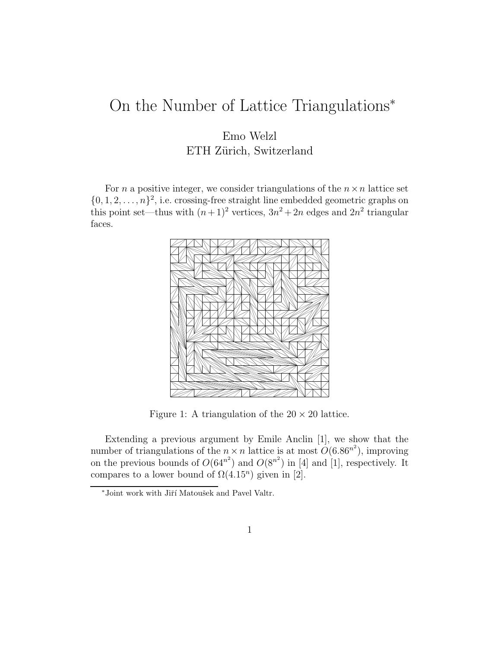## On the Number of Lattice Triangulations<sup>∗</sup>

## Emo Welzl ETH Zürich, Switzerland

For *n* a positive integer, we consider triangulations of the  $n \times n$  lattice set  $\{0, 1, 2, \ldots, n\}^2$ , i.e. crossing-free straight line embedded geometric graphs on this point set—thus with  $(n+1)^2$  vertices,  $3n^2 + 2n$  edges and  $2n^2$  triangular faces.



Figure 1: A triangulation of the  $20 \times 20$  lattice.

Extending a previous argument by Emile Anclin [1], we show that the number of triangulations of the  $n \times n$  lattice is at most  $O(6.86^{n^2})$ , improving on the previous bounds of  $O(64^{n^2})$  and  $O(8^{n^2})$  in [4] and [1], respectively. It compares to a lower bound of  $\Omega(4.15^n)$  given in [2].

 $*$  Joint work with Jiří Matoušek and Pavel Valtr.